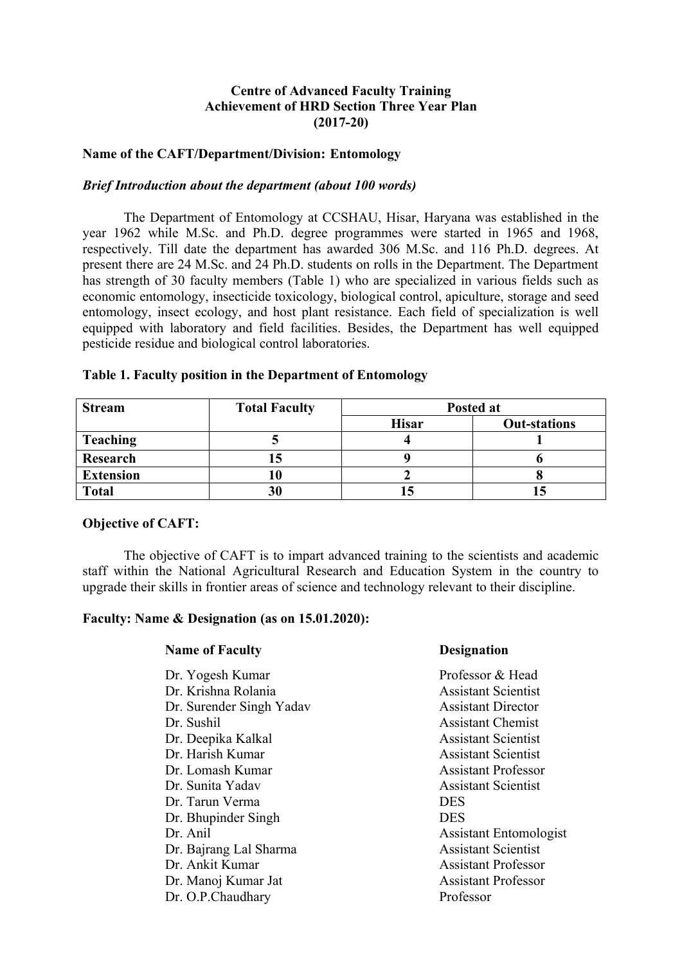### **Centre of Advanced Faculty Training Achievement of HRD Section Three Year Plan (2017-20)**

### **Name of the CAFT/Department/Division: Entomology**

#### *Brief Introduction about the department (about 100 words)*

The Department of Entomology at CCSHAU, Hisar, Haryana was established in the year 1962 while M.Sc. and Ph.D. degree programmes were started in 1965 and 1968, respectively. Till date the department has awarded 306 M.Sc. and 116 Ph.D. degrees. At present there are 24 M.Sc. and 24 Ph.D. students on rolls in the Department. The Department has strength of 30 faculty members (Table 1) who are specialized in various fields such as economic entomology, insecticide toxicology, biological control, apiculture, storage and seed entomology, insect ecology, and host plant resistance. Each field of specialization is well equipped with laboratory and field facilities. Besides, the Department has well equipped pesticide residue and biological control laboratories.

| <b>Stream</b>    | <b>Total Faculty</b> | Posted at    |                     |  |
|------------------|----------------------|--------------|---------------------|--|
|                  |                      | <b>Hisar</b> | <b>Out-stations</b> |  |
| <b>Teaching</b>  |                      |              |                     |  |
| Research         |                      |              |                     |  |
| <b>Extension</b> |                      |              |                     |  |
| <b>Total</b>     | 30                   |              |                     |  |

#### **Table 1. Faculty position in the Department of Entomology**

#### **Objective of CAFT:**

The objective of CAFT is to impart advanced training to the scientists and academic staff within the National Agricultural Research and Education System in the country to upgrade their skills in frontier areas of science and technology relevant to their discipline.

#### **Faculty: Name & Designation (as on 15.01.2020):**

| <b>Name of Faculty</b>   | <b>Designation</b>            |  |  |
|--------------------------|-------------------------------|--|--|
| Dr. Yogesh Kumar         | Professor & Head              |  |  |
| Dr. Krishna Rolania      | <b>Assistant Scientist</b>    |  |  |
| Dr. Surender Singh Yadav | <b>Assistant Director</b>     |  |  |
| Dr. Sushil               | <b>Assistant Chemist</b>      |  |  |
| Dr. Deepika Kalkal       | <b>Assistant Scientist</b>    |  |  |
| Dr. Harish Kumar         | <b>Assistant Scientist</b>    |  |  |
| Dr. Lomash Kumar         | <b>Assistant Professor</b>    |  |  |
| Dr. Sunita Yadav         | <b>Assistant Scientist</b>    |  |  |
| Dr. Tarun Verma          | <b>DES</b>                    |  |  |
| Dr. Bhupinder Singh      | <b>DES</b>                    |  |  |
| Dr. Anil                 | <b>Assistant Entomologist</b> |  |  |
| Dr. Bajrang Lal Sharma   | <b>Assistant Scientist</b>    |  |  |
| Dr. Ankit Kumar          | <b>Assistant Professor</b>    |  |  |
| Dr. Manoj Kumar Jat      | <b>Assistant Professor</b>    |  |  |
| Dr. O.P.Chaudhary        | Professor                     |  |  |
|                          |                               |  |  |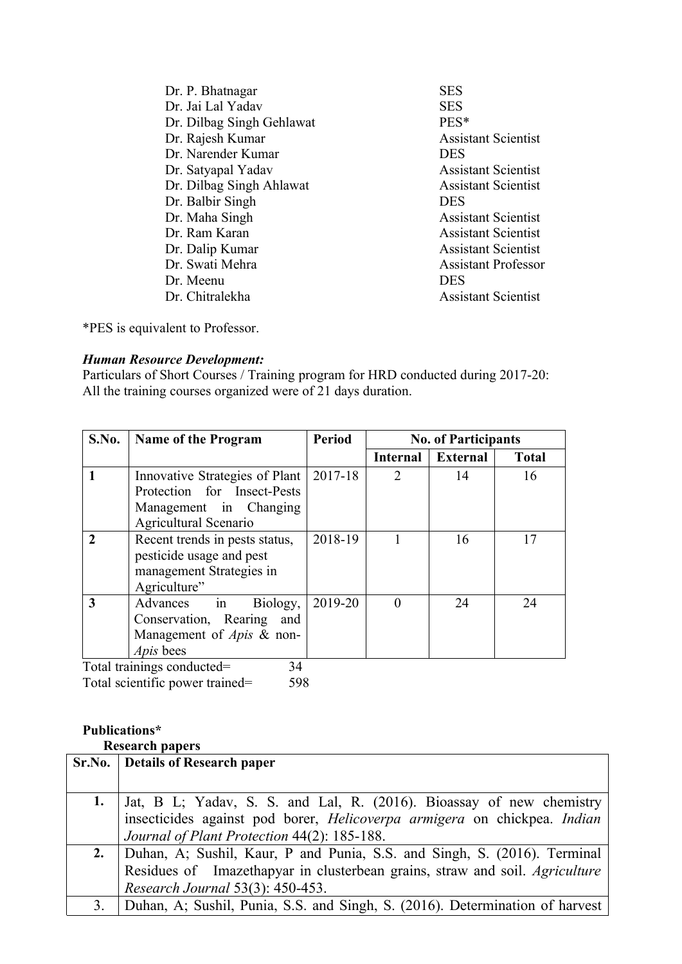| Dr. P. Bhatnagar          | <b>SES</b>                 |
|---------------------------|----------------------------|
| Dr. Jai Lal Yadav         | <b>SES</b>                 |
| Dr. Dilbag Singh Gehlawat | PES*                       |
| Dr. Rajesh Kumar          | <b>Assistant Scientist</b> |
| Dr. Narender Kumar        | <b>DES</b>                 |
| Dr. Satyapal Yadav        | <b>Assistant Scientist</b> |
| Dr. Dilbag Singh Ahlawat  | <b>Assistant Scientist</b> |
| Dr. Balbir Singh          | <b>DES</b>                 |
| Dr. Maha Singh            | <b>Assistant Scientist</b> |
| Dr. Ram Karan             | <b>Assistant Scientist</b> |
| Dr. Dalip Kumar           | <b>Assistant Scientist</b> |
| Dr. Swati Mehra           | <b>Assistant Professor</b> |
| Dr. Meenu                 | <b>DES</b>                 |
| Dr. Chitralekha           | <b>Assistant Scientist</b> |
|                           |                            |

\*PES is equivalent to Professor.

## *Human Resource Development:*

Particulars of Short Courses / Training program for HRD conducted during 2017-20: All the training courses organized were of 21 days duration.

| S.No.                            | <b>Name of the Program</b>     | <b>Period</b> | <b>No. of Participants</b> |                 |              |
|----------------------------------|--------------------------------|---------------|----------------------------|-----------------|--------------|
|                                  |                                |               | Internal                   | <b>External</b> | <b>Total</b> |
|                                  | Innovative Strategies of Plant | $2017 - 18$   | 2                          | 14              | 16           |
|                                  | Protection for Insect-Pests    |               |                            |                 |              |
|                                  | Management in Changing         |               |                            |                 |              |
|                                  | Agricultural Scenario          |               |                            |                 |              |
| $\mathfrak{D}$                   | Recent trends in pests status, | 2018-19       |                            | 16              | 17           |
|                                  | pesticide usage and pest       |               |                            |                 |              |
|                                  | management Strategies in       |               |                            |                 |              |
|                                  | Agriculture"                   |               |                            |                 |              |
| 3                                | Advances<br>Biology,<br>in     | 2019-20       |                            | 24              | 24           |
|                                  | Conservation, Rearing<br>and   |               |                            |                 |              |
|                                  | Management of Apis & non-      |               |                            |                 |              |
|                                  | <i>Apis</i> bees               |               |                            |                 |              |
| Total trainings conducted=<br>34 |                                |               |                            |                 |              |

Total scientific power trained= 598

### **Publications\***

### **Research papers**

|    | 1105061 011 DUD 01 5                                                                   |
|----|----------------------------------------------------------------------------------------|
|    | Sr.No.   Details of Research paper                                                     |
|    |                                                                                        |
|    | Jat, B L; Yadav, S. S. and Lal, R. (2016). Bioassay of new chemistry                   |
|    | insecticides against pod borer, <i>Helicoverpa armigera</i> on chickpea. <i>Indian</i> |
|    | Journal of Plant Protection 44(2): 185-188.                                            |
| 2. | Duhan, A; Sushil, Kaur, P and Punia, S.S. and Singh, S. (2016). Terminal               |
|    | Residues of Imazethapyar in clusterbean grains, straw and soil. Agriculture            |
|    | Research Journal 53(3): 450-453.                                                       |
| 3. | Duhan, A; Sushil, Punia, S.S. and Singh, S. (2016). Determination of harvest           |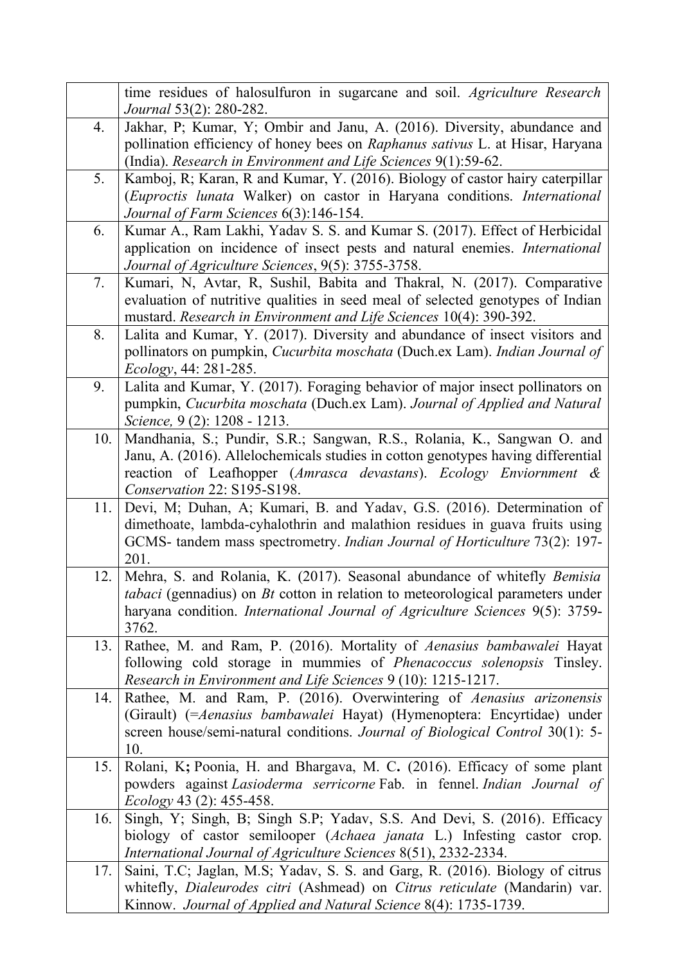|     | time residues of halosulfuron in sugarcane and soil. Agriculture Research<br>Journal 53(2): 280-282.                                              |
|-----|---------------------------------------------------------------------------------------------------------------------------------------------------|
| 4.  | Jakhar, P; Kumar, Y; Ombir and Janu, A. (2016). Diversity, abundance and                                                                          |
|     | pollination efficiency of honey bees on Raphanus sativus L. at Hisar, Haryana                                                                     |
|     | (India). Research in Environment and Life Sciences 9(1):59-62.                                                                                    |
| 5.  | Kamboj, R; Karan, R and Kumar, Y. (2016). Biology of castor hairy caterpillar                                                                     |
|     | (Euproctis lunata Walker) on castor in Haryana conditions. International                                                                          |
|     | Journal of Farm Sciences 6(3):146-154.                                                                                                            |
| 6.  | Kumar A., Ram Lakhi, Yadav S. S. and Kumar S. (2017). Effect of Herbicidal                                                                        |
|     | application on incidence of insect pests and natural enemies. International                                                                       |
|     | Journal of Agriculture Sciences, 9(5): 3755-3758.                                                                                                 |
| 7.  | Kumari, N, Avtar, R, Sushil, Babita and Thakral, N. (2017). Comparative                                                                           |
|     | evaluation of nutritive qualities in seed meal of selected genotypes of Indian                                                                    |
| 8.  | mustard. Research in Environment and Life Sciences 10(4): 390-392.<br>Lalita and Kumar, Y. (2017). Diversity and abundance of insect visitors and |
|     | pollinators on pumpkin, Cucurbita moschata (Duch.ex Lam). Indian Journal of                                                                       |
|     | Ecology, 44: 281-285.                                                                                                                             |
| 9.  | Lalita and Kumar, Y. (2017). Foraging behavior of major insect pollinators on                                                                     |
|     | pumpkin, Cucurbita moschata (Duch.ex Lam). Journal of Applied and Natural                                                                         |
|     | Science, 9 (2): 1208 - 1213.                                                                                                                      |
| 10. | Mandhania, S.; Pundir, S.R.; Sangwan, R.S., Rolania, K., Sangwan O. and                                                                           |
|     | Janu, A. (2016). Allelochemicals studies in cotton genotypes having differential                                                                  |
|     | reaction of Leafhopper (Amrasca devastans). Ecology Enviornment &                                                                                 |
|     | Conservation 22: S195-S198.                                                                                                                       |
| 11. | Devi, M; Duhan, A; Kumari, B. and Yadav, G.S. (2016). Determination of                                                                            |
|     | dimethoate, lambda-cyhalothrin and malathion residues in guava fruits using                                                                       |
|     | GCMS- tandem mass spectrometry. <i>Indian Journal of Horticulture</i> 73(2): 197-                                                                 |
| 12. | 201.<br>Mehra, S. and Rolania, K. (2017). Seasonal abundance of whitefly Bemisia                                                                  |
|     | <i>tabaci</i> (gennadius) on <i>Bt</i> cotton in relation to meteorological parameters under                                                      |
|     | haryana condition. International Journal of Agriculture Sciences 9(5): 3759-                                                                      |
|     | 3762.                                                                                                                                             |
| 13. | Rathee, M. and Ram, P. (2016). Mortality of Aenasius bambawalei Hayat                                                                             |
|     | following cold storage in mummies of <i>Phenacoccus solenopsis</i> Tinsley.                                                                       |
|     | Research in Environment and Life Sciences 9 (10): 1215-1217.                                                                                      |
| 14. | Rathee, M. and Ram, P. (2016). Overwintering of Aenasius arizonensis                                                                              |
|     | (Girault) (= Aenasius bambawalei Hayat) (Hymenoptera: Encyrtidae) under                                                                           |
|     | screen house/semi-natural conditions. Journal of Biological Control 30(1): 5-                                                                     |
|     | 10.                                                                                                                                               |
| 15. | Rolani, K; Poonia, H. and Bhargava, M. C. (2016). Efficacy of some plant                                                                          |
|     | powders against Lasioderma serricorne Fab. in fennel. Indian Journal of<br><i>Ecology</i> 43 (2): 455-458.                                        |
| 16. | Singh, Y; Singh, B; Singh S.P; Yadav, S.S. And Devi, S. (2016). Efficacy                                                                          |
|     | biology of castor semilooper (Achaea janata L.) Infesting castor crop.                                                                            |
|     | International Journal of Agriculture Sciences 8(51), 2332-2334.                                                                                   |
| 17. | Saini, T.C; Jaglan, M.S; Yadav, S. S. and Garg, R. (2016). Biology of citrus                                                                      |
|     |                                                                                                                                                   |
|     | whitefly, Dialeurodes citri (Ashmead) on Citrus reticulate (Mandarin) var.                                                                        |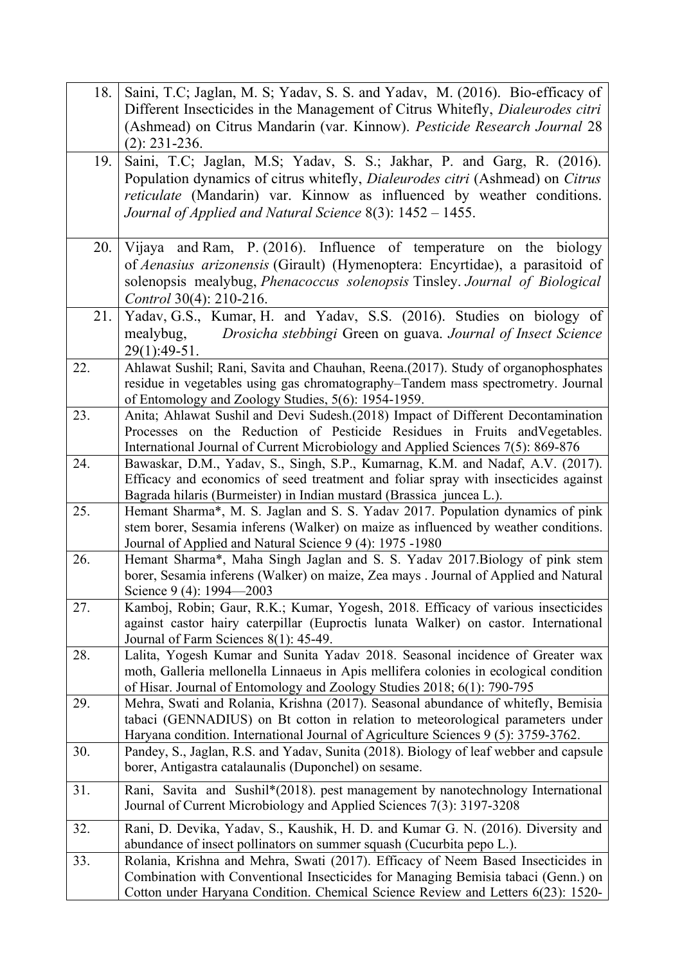| 18. | Saini, T.C; Jaglan, M. S; Yadav, S. S. and Yadav, M. (2016). Bio-efficacy of                                                                                         |  |  |  |  |
|-----|----------------------------------------------------------------------------------------------------------------------------------------------------------------------|--|--|--|--|
|     | Different Insecticides in the Management of Citrus Whitefly, Dialeurodes citri                                                                                       |  |  |  |  |
|     | (Ashmead) on Citrus Mandarin (var. Kinnow). Pesticide Research Journal 28                                                                                            |  |  |  |  |
|     | $(2)$ : 231-236.                                                                                                                                                     |  |  |  |  |
| 19. | Saini, T.C; Jaglan, M.S; Yadav, S. S.; Jakhar, P. and Garg, R. (2016).                                                                                               |  |  |  |  |
|     | Population dynamics of citrus whitefly, Dialeurodes citri (Ashmead) on Citrus                                                                                        |  |  |  |  |
|     | reticulate (Mandarin) var. Kinnow as influenced by weather conditions.                                                                                               |  |  |  |  |
|     | Journal of Applied and Natural Science 8(3): 1452 – 1455.                                                                                                            |  |  |  |  |
|     |                                                                                                                                                                      |  |  |  |  |
| 20. | Vijaya and Ram, P. (2016). Influence of temperature on the<br>biology                                                                                                |  |  |  |  |
|     | of Aenasius arizonensis (Girault) (Hymenoptera: Encyrtidae), a parasitoid of                                                                                         |  |  |  |  |
|     | solenopsis mealybug, Phenacoccus solenopsis Tinsley. Journal of Biological                                                                                           |  |  |  |  |
|     | Control 30(4): 210-216.                                                                                                                                              |  |  |  |  |
| 21. | Yadav, G.S., Kumar, H. and Yadav, S.S. (2016). Studies on biology of                                                                                                 |  |  |  |  |
|     | mealybug,<br>Drosicha stebbingi Green on guava. Journal of Insect Science                                                                                            |  |  |  |  |
|     | 29(1):49-51.                                                                                                                                                         |  |  |  |  |
| 22. | Ahlawat Sushil; Rani, Savita and Chauhan, Reena.(2017). Study of organophosphates                                                                                    |  |  |  |  |
|     | residue in vegetables using gas chromatography–Tandem mass spectrometry. Journal                                                                                     |  |  |  |  |
|     | of Entomology and Zoology Studies, 5(6): 1954-1959.                                                                                                                  |  |  |  |  |
| 23. | Anita; Ahlawat Sushil and Devi Sudesh.(2018) Impact of Different Decontamination                                                                                     |  |  |  |  |
|     | Processes on the Reduction of Pesticide Residues in Fruits and Vegetables.                                                                                           |  |  |  |  |
|     | International Journal of Current Microbiology and Applied Sciences 7(5): 869-876                                                                                     |  |  |  |  |
| 24. | Bawaskar, D.M., Yadav, S., Singh, S.P., Kumarnag, K.M. and Nadaf, A.V. (2017).                                                                                       |  |  |  |  |
|     | Efficacy and economics of seed treatment and foliar spray with insecticides against                                                                                  |  |  |  |  |
|     | Bagrada hilaris (Burmeister) in Indian mustard (Brassica juncea L.).                                                                                                 |  |  |  |  |
| 25. | Hemant Sharma*, M. S. Jaglan and S. S. Yadav 2017. Population dynamics of pink                                                                                       |  |  |  |  |
|     | stem borer, Sesamia inferens (Walker) on maize as influenced by weather conditions.<br>Journal of Applied and Natural Science 9 (4): 1975 -1980                      |  |  |  |  |
| 26. | Hemant Sharma*, Maha Singh Jaglan and S. S. Yadav 2017. Biology of pink stem                                                                                         |  |  |  |  |
|     | borer, Sesamia inferens (Walker) on maize, Zea mays . Journal of Applied and Natural                                                                                 |  |  |  |  |
|     | Science 9 (4): 1994-2003                                                                                                                                             |  |  |  |  |
| 27. | Kamboj, Robin; Gaur, R.K.; Kumar, Yogesh, 2018. Efficacy of various insecticides                                                                                     |  |  |  |  |
|     | against castor hairy caterpillar (Euproctis lunata Walker) on castor. International                                                                                  |  |  |  |  |
|     | Journal of Farm Sciences 8(1): 45-49.                                                                                                                                |  |  |  |  |
| 28. | Lalita, Yogesh Kumar and Sunita Yadav 2018. Seasonal incidence of Greater wax                                                                                        |  |  |  |  |
|     | moth, Galleria mellonella Linnaeus in Apis mellifera colonies in ecological condition                                                                                |  |  |  |  |
|     | of Hisar. Journal of Entomology and Zoology Studies 2018; 6(1): 790-795                                                                                              |  |  |  |  |
| 29. | Mehra, Swati and Rolania, Krishna (2017). Seasonal abundance of whitefly, Bemisia                                                                                    |  |  |  |  |
|     | tabaci (GENNADIUS) on Bt cotton in relation to meteorological parameters under<br>Haryana condition. International Journal of Agriculture Sciences 9 (5): 3759-3762. |  |  |  |  |
| 30. | Pandey, S., Jaglan, R.S. and Yadav, Sunita (2018). Biology of leaf webber and capsule                                                                                |  |  |  |  |
|     | borer, Antigastra catalaunalis (Duponchel) on sesame.                                                                                                                |  |  |  |  |
|     |                                                                                                                                                                      |  |  |  |  |
| 31. | Rani, Savita and Sushil*(2018). pest management by nanotechnology International                                                                                      |  |  |  |  |
|     | Journal of Current Microbiology and Applied Sciences 7(3): 3197-3208                                                                                                 |  |  |  |  |
| 32. | Rani, D. Devika, Yadav, S., Kaushik, H. D. and Kumar G. N. (2016). Diversity and                                                                                     |  |  |  |  |
|     | abundance of insect pollinators on summer squash (Cucurbita pepo L.).                                                                                                |  |  |  |  |
| 33. | Rolania, Krishna and Mehra, Swati (2017). Efficacy of Neem Based Insecticides in                                                                                     |  |  |  |  |
|     | Combination with Conventional Insecticides for Managing Bemisia tabaci (Genn.) on                                                                                    |  |  |  |  |
|     | Cotton under Haryana Condition. Chemical Science Review and Letters 6(23): 1520-                                                                                     |  |  |  |  |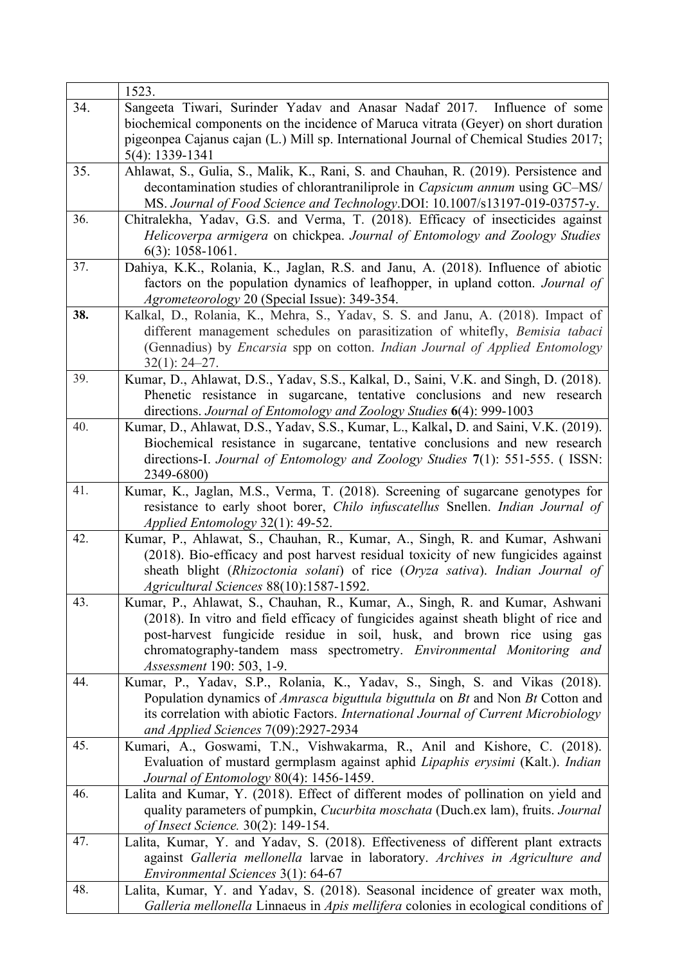|     | 1523.                                                                                                                                                                                                                                                                                                                                                            |
|-----|------------------------------------------------------------------------------------------------------------------------------------------------------------------------------------------------------------------------------------------------------------------------------------------------------------------------------------------------------------------|
| 34. | Sangeeta Tiwari, Surinder Yadav and Anasar Nadaf 2017. Influence of some<br>biochemical components on the incidence of Maruca vitrata (Geyer) on short duration<br>pigeonpea Cajanus cajan (L.) Mill sp. International Journal of Chemical Studies 2017;<br>5(4): 1339-1341                                                                                      |
| 35. | Ahlawat, S., Gulia, S., Malik, K., Rani, S. and Chauhan, R. (2019). Persistence and<br>decontamination studies of chlorantraniliprole in <i>Capsicum annum</i> using GC-MS/<br>MS. Journal of Food Science and Technology.DOI: 10.1007/s13197-019-03757-y.                                                                                                       |
| 36. | Chitralekha, Yadav, G.S. and Verma, T. (2018). Efficacy of insecticides against<br>Helicoverpa armigera on chickpea. Journal of Entomology and Zoology Studies<br>$6(3)$ : 1058-1061.                                                                                                                                                                            |
| 37. | Dahiya, K.K., Rolania, K., Jaglan, R.S. and Janu, A. (2018). Influence of abiotic<br>factors on the population dynamics of leafhopper, in upland cotton. Journal of<br><i>Agrometeorology</i> 20 (Special Issue): 349-354.                                                                                                                                       |
| 38. | Kalkal, D., Rolania, K., Mehra, S., Yadav, S. S. and Janu, A. (2018). Impact of<br>different management schedules on parasitization of whitefly, Bemisia tabaci<br>(Gennadius) by <i>Encarsia</i> spp on cotton. <i>Indian Journal of Applied Entomology</i><br>$32(1): 24 - 27.$                                                                                |
| 39. | Kumar, D., Ahlawat, D.S., Yadav, S.S., Kalkal, D., Saini, V.K. and Singh, D. (2018).<br>Phenetic resistance in sugarcane, tentative conclusions and new research<br>directions. Journal of Entomology and Zoology Studies 6(4): 999-1003                                                                                                                         |
| 40. | Kumar, D., Ahlawat, D.S., Yadav, S.S., Kumar, L., Kalkal, D. and Saini, V.K. (2019).<br>Biochemical resistance in sugarcane, tentative conclusions and new research<br>directions-I. Journal of Entomology and Zoology Studies 7(1): 551-555. ( ISSN:<br>2349-6800)                                                                                              |
| 41. | Kumar, K., Jaglan, M.S., Verma, T. (2018). Screening of sugarcane genotypes for<br>resistance to early shoot borer, Chilo infuscatellus Snellen. Indian Journal of<br>Applied Entomology 32(1): 49-52.                                                                                                                                                           |
| 42. | Kumar, P., Ahlawat, S., Chauhan, R., Kumar, A., Singh, R. and Kumar, Ashwani<br>(2018). Bio-efficacy and post harvest residual toxicity of new fungicides against<br>sheath blight (Rhizoctonia solani) of rice (Oryza sativa). Indian Journal of<br>Agricultural Sciences 88(10):1587-1592.                                                                     |
| 43. | Kumar, P., Ahlawat, S., Chauhan, R., Kumar, A., Singh, R. and Kumar, Ashwani<br>(2018). In vitro and field efficacy of fungicides against sheath blight of rice and<br>post-harvest fungicide residue in soil, husk, and brown rice using<br>gas<br>chromatography-tandem mass spectrometry. Environmental Monitoring<br>and<br><i>Assessment</i> 190: 503, 1-9. |
| 44. | Kumar, P., Yadav, S.P., Rolania, K., Yadav, S., Singh, S. and Vikas (2018).<br>Population dynamics of <i>Amrasca biguttula biguttula</i> on <i>Bt</i> and Non <i>Bt</i> Cotton and<br>its correlation with abiotic Factors. International Journal of Current Microbiology<br>and Applied Sciences $7(09)$ :2927-2934                                             |
| 45. | Kumari, A., Goswami, T.N., Vishwakarma, R., Anil and Kishore, C. (2018).<br>Evaluation of mustard germplasm against aphid Lipaphis erysimi (Kalt.). Indian<br>Journal of Entomology 80(4): 1456-1459.                                                                                                                                                            |
| 46. | Lalita and Kumar, Y. (2018). Effect of different modes of pollination on yield and<br>quality parameters of pumpkin, <i>Cucurbita moschata</i> (Duch.ex lam), fruits. <i>Journal</i><br>of Insect Science. 30(2): 149-154.                                                                                                                                       |
| 47. | Lalita, Kumar, Y. and Yadav, S. (2018). Effectiveness of different plant extracts<br>against Galleria mellonella larvae in laboratory. Archives in Agriculture and<br><i>Environmental Sciences</i> 3(1): 64-67                                                                                                                                                  |
| 48. | Lalita, Kumar, Y. and Yadav, S. (2018). Seasonal incidence of greater wax moth,<br>Galleria mellonella Linnaeus in Apis mellifera colonies in ecological conditions of                                                                                                                                                                                           |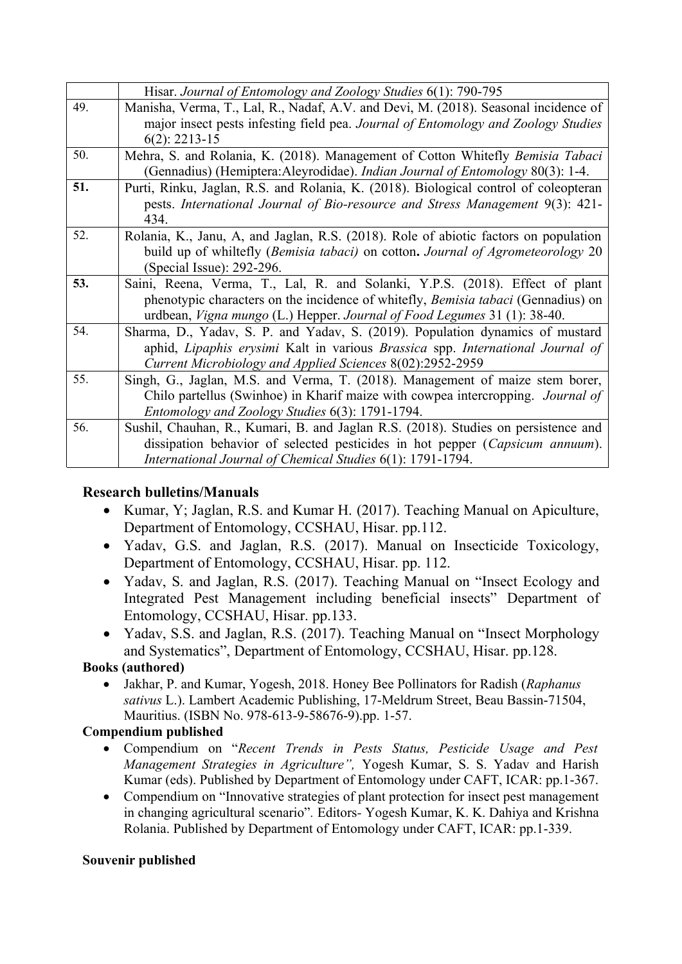|     | Hisar. Journal of Entomology and Zoology Studies 6(1): 790-795                                                                             |
|-----|--------------------------------------------------------------------------------------------------------------------------------------------|
| 49. | Manisha, Verma, T., Lal, R., Nadaf, A.V. and Devi, M. (2018). Seasonal incidence of                                                        |
|     | major insect pests infesting field pea. Journal of Entomology and Zoology Studies                                                          |
|     | $6(2)$ : 2213-15                                                                                                                           |
| 50. | Mehra, S. and Rolania, K. (2018). Management of Cotton Whitefly Bemisia Tabaci                                                             |
|     | (Gennadius) (Hemiptera:Aleyrodidae). <i>Indian Journal of Entomology</i> 80(3): 1-4.                                                       |
| 51. | Purti, Rinku, Jaglan, R.S. and Rolania, K. (2018). Biological control of coleopteran                                                       |
|     | pests. International Journal of Bio-resource and Stress Management 9(3): 421-<br>434.                                                      |
| 52. | Rolania, K., Janu, A., and Jaglan, R.S. (2018). Role of abiotic factors on population                                                      |
|     | build up of whiltefly (Bemisia tabaci) on cotton. Journal of Agrometeorology 20                                                            |
|     | (Special Issue): 292-296.                                                                                                                  |
| 53. | Saini, Reena, Verma, T., Lal, R. and Solanki, Y.P.S. (2018). Effect of plant                                                               |
|     | phenotypic characters on the incidence of whitefly, Bemisia tabaci (Gennadius) on                                                          |
|     | urdbean, Vigna mungo (L.) Hepper. Journal of Food Legumes 31 (1): 38-40.                                                                   |
| 54. | Sharma, D., Yadav, S. P. and Yadav, S. (2019). Population dynamics of mustard                                                              |
|     | aphid, Lipaphis erysimi Kalt in various Brassica spp. International Journal of                                                             |
|     | Current Microbiology and Applied Sciences 8(02):2952-2959                                                                                  |
| 55. | Singh, G., Jaglan, M.S. and Verma, T. (2018). Management of maize stem borer,                                                              |
|     |                                                                                                                                            |
|     | Chilo partellus (Swinhoe) in Kharif maize with cowpea intercropping. Journal of                                                            |
|     | Entomology and Zoology Studies 6(3): 1791-1794.                                                                                            |
| 56. | Sushil, Chauhan, R., Kumari, B. and Jaglan R.S. (2018). Studies on persistence and                                                         |
|     | dissipation behavior of selected pesticides in hot pepper (Capsicum annuum).<br>International Journal of Chemical Studies 6(1): 1791-1794. |

# **Research bulletins/Manuals**

- Kumar, Y; Jaglan, R.S. and Kumar H. (2017). Teaching Manual on Apiculture, Department of Entomology, CCSHAU, Hisar. pp.112.
- Yadav, G.S. and Jaglan, R.S. (2017). Manual on Insecticide Toxicology, Department of Entomology, CCSHAU, Hisar. pp. 112.
- Yadav, S. and Jaglan, R.S. (2017). Teaching Manual on "Insect Ecology and Integrated Pest Management including beneficial insects" Department of Entomology, CCSHAU, Hisar. pp.133.
- Yadav, S.S. and Jaglan, R.S. (2017). Teaching Manual on "Insect Morphology" and Systematics", Department of Entomology, CCSHAU, Hisar. pp.128.

## **Books (authored)**

 Jakhar, P. and Kumar, Yogesh, 2018. Honey Bee Pollinators for Radish (*Raphanus sativus* L.). Lambert Academic Publishing, 17-Meldrum Street, Beau Bassin-71504, Mauritius. (ISBN No. 978-613-9-58676-9).pp. 1-57.

## **Compendium published**

- Compendium on "*Recent Trends in Pests Status, Pesticide Usage and Pest Management Strategies in Agriculture",* Yogesh Kumar, S. S. Yadav and Harish Kumar (eds). Published by Department of Entomology under CAFT, ICAR: pp.1-367.
- Compendium on "Innovative strategies of plant protection for insect pest management in changing agricultural scenario"*.* Editors*-* Yogesh Kumar, K. K. Dahiya and Krishna Rolania. Published by Department of Entomology under CAFT, ICAR: pp.1-339.

## **Souvenir published**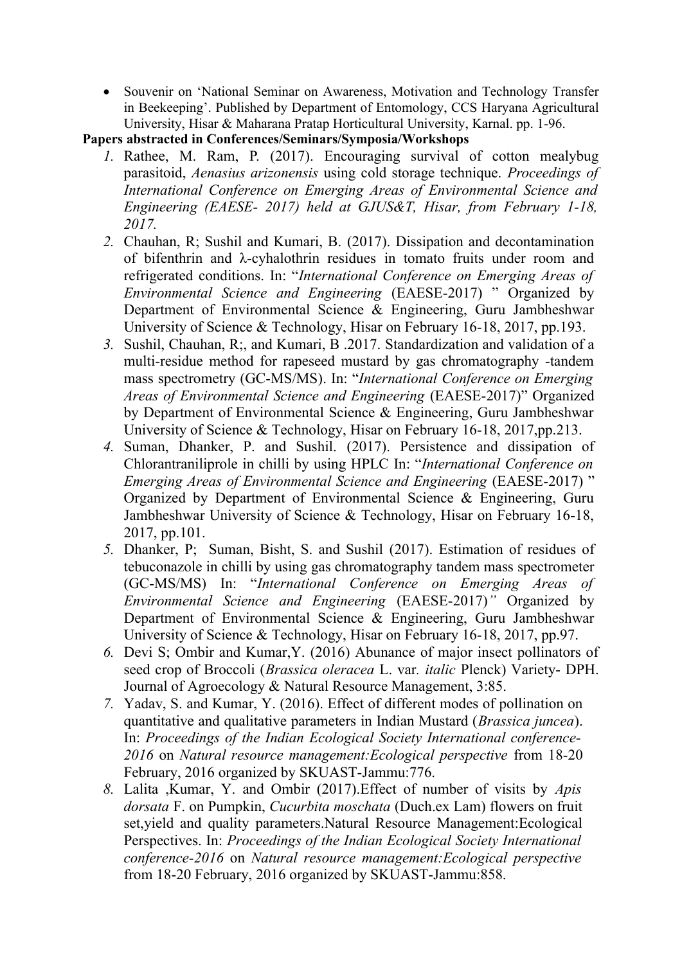• Souvenir on 'National Seminar on Awareness, Motivation and Technology Transfer in Beekeeping'. Published by Department of Entomology, CCS Haryana Agricultural University, Hisar & Maharana Pratap Horticultural University, Karnal. pp. 1-96.

**Papers abstracted in Conferences/Seminars/Symposia/Workshops**

- *1.* Rathee, M. Ram, P. (2017). Encouraging survival of cotton mealybug parasitoid, *Aenasius arizonensis* using cold storage technique. *Proceedings of International Conference on Emerging Areas of Environmental Science and Engineering (EAESE- 2017) held at GJUS&T, Hisar, from February 1-18, 2017.*
- *2.* Chauhan, R; Sushil and Kumari, B. (2017). Dissipation and decontamination of bifenthrin and λ-cyhalothrin residues in tomato fruits under room and refrigerated conditions. In: "*International Conference on Emerging Areas of Environmental Science and Engineering* (EAESE-2017) " Organized by Department of Environmental Science & Engineering, Guru Jambheshwar University of Science & Technology, Hisar on February 16-18, 2017, pp.193.
- *3.* Sushil, Chauhan, R;, and Kumari, B .2017. Standardization and validation of a multi-residue method for rapeseed mustard by gas chromatography -tandem mass spectrometry (GC-MS/MS). In: "*International Conference on Emerging Areas of Environmental Science and Engineering* (EAESE-2017)" Organized by Department of Environmental Science & Engineering, Guru Jambheshwar University of Science & Technology, Hisar on February 16-18, 2017,pp.213.
- *4.* Suman, Dhanker, P. and Sushil. (2017). Persistence and dissipation of Chlorantraniliprole in chilli by using HPLC In: "*International Conference on Emerging Areas of Environmental Science and Engineering (EAESE-2017)* " Organized by Department of Environmental Science & Engineering, Guru Jambheshwar University of Science & Technology, Hisar on February 16-18, 2017, pp.101.
- *5.* Dhanker, P; Suman, Bisht, S. and Sushil (2017). Estimation of residues of tebuconazole in chilli by using gas chromatography tandem mass spectrometer (GC-MS/MS) In: "*International Conference on Emerging Areas of Environmental Science and Engineering* (EAESE-2017)*"* Organized by Department of Environmental Science & Engineering, Guru Jambheshwar University of Science & Technology, Hisar on February 16-18, 2017, pp.97.
- *6.* Devi S; Ombir and Kumar,Y. (2016) Abunance of major insect pollinators of seed crop of Broccoli (*Brassica oleracea* L. var*. italic* Plenck) Variety- DPH. Journal of Agroecology & Natural Resource Management, 3:85.
- *7.* Yadav, S. and Kumar, Y. (2016). Effect of different modes of pollination on quantitative and qualitative parameters in Indian Mustard (*Brassica juncea*). In: *Proceedings of the Indian Ecological Society International conference-2016* on *Natural resource management:Ecological perspective* from 18-20 February, 2016 organized by SKUAST-Jammu:776.
- *8.* Lalita ,Kumar, Y. and Ombir (2017).Effect of number of visits by *Apis dorsata* F. on Pumpkin, *Cucurbita moschata* (Duch.ex Lam) flowers on fruit set,yield and quality parameters.Natural Resource Management:Ecological Perspectives. In: *Proceedings of the Indian Ecological Society International conference-2016* on *Natural resource management:Ecological perspective* from 18-20 February, 2016 organized by SKUAST-Jammu:858.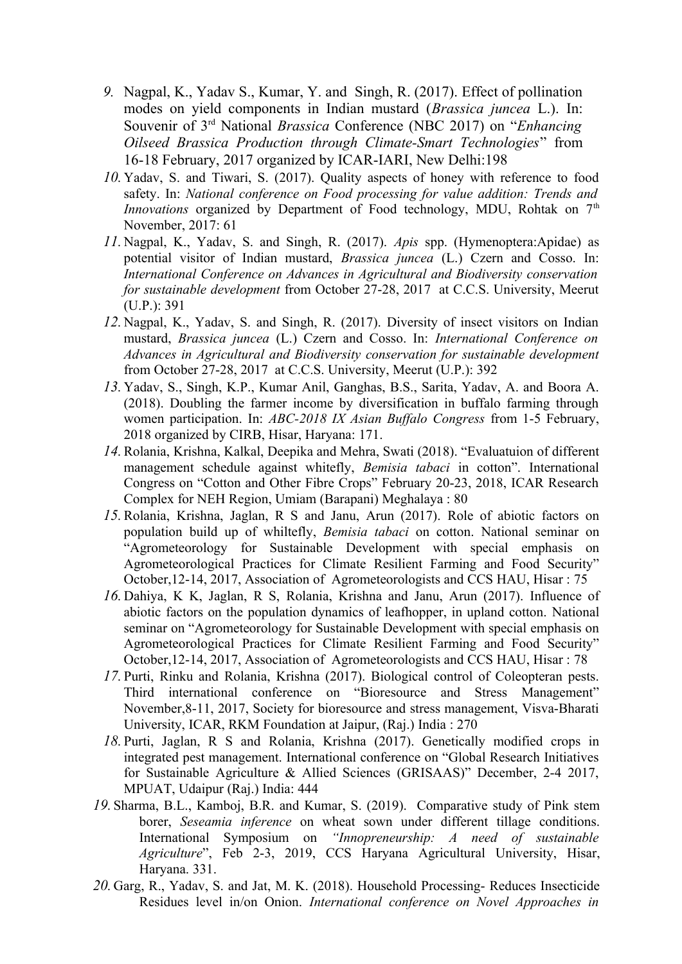- *9.* Nagpal, K., Yadav S., Kumar, Y. and Singh, R. (2017). Effect of pollination modes on yield components in Indian mustard (*Brassica juncea* L.). In: Souvenir of 3rd National *Brassica* Conference (NBC 2017) on "*Enhancing Oilseed Brassica Production through Climate-Smart Technologies*" from 16-18 February, 2017 organized by ICAR-IARI, New Delhi:198
- *10.* Yadav, S. and Tiwari, S. (2017). Quality aspects of honey with reference to food safety. In: *National conference on Food processing for value addition: Trends and Innovations* organized by Department of Food technology, MDU, Rohtak on 7<sup>th</sup> November, 2017: 61
- *11.* Nagpal, K., Yadav, S. and Singh, R. (2017). *Apis* spp. (Hymenoptera:Apidae) as potential visitor of Indian mustard, *Brassica juncea* (L.) Czern and Cosso. In: *International Conference on Advances in Agricultural and Biodiversity conservation for sustainable development* from October 27-28, 2017 at C.C.S. University, Meerut (U.P.): 391
- *12.* Nagpal, K., Yadav, S. and Singh, R. (2017). Diversity of insect visitors on Indian mustard, *Brassica juncea* (L.) Czern and Cosso. In: *International Conference on Advances in Agricultural and Biodiversity conservation for sustainable development* from October 27-28, 2017 at C.C.S. University, Meerut (U.P.): 392
- *13.* Yadav, S., Singh, K.P., Kumar Anil, Ganghas, B.S., Sarita, Yadav, A. and Boora A. (2018). Doubling the farmer income by diversification in buffalo farming through women participation. In: *ABC-2018 IX Asian Buffalo Congress* from 1-5 February, 2018 organized by CIRB, Hisar, Haryana: 171.
- *14.*Rolania, Krishna, Kalkal, Deepika and Mehra, Swati (2018). "Evaluatuion of different management schedule against whitefly, *Bemisia tabaci* in cotton". International Congress on "Cotton and Other Fibre Crops" February 20-23, 2018, ICAR Research Complex for NEH Region, Umiam (Barapani) Meghalaya : 80
- *15.*Rolania, Krishna, Jaglan, R S and Janu, Arun (2017). Role of abiotic factors on population build up of whiltefly, *Bemisia tabaci* on cotton. National seminar on "Agrometeorology for Sustainable Development with special emphasis on Agrometeorological Practices for Climate Resilient Farming and Food Security" October,12-14, 2017, Association of Agrometeorologists and CCS HAU, Hisar : 75
- *16.* Dahiya, K K, Jaglan, R S, Rolania, Krishna and Janu, Arun (2017). Influence of abiotic factors on the population dynamics of leafhopper, in upland cotton. National seminar on "Agrometeorology for Sustainable Development with special emphasis on Agrometeorological Practices for Climate Resilient Farming and Food Security" October,12-14, 2017, Association of Agrometeorologists and CCS HAU, Hisar : 78
- *17.* Purti, Rinku and Rolania, Krishna (2017). Biological control of Coleopteran pests. Third international conference on "Bioresource and Stress Management" November,8-11, 2017, Society for bioresource and stress management, Visva-Bharati University, ICAR, RKM Foundation at Jaipur, (Raj.) India : 270
- *18.* Purti, Jaglan, R S and Rolania, Krishna (2017). Genetically modified crops in integrated pest management. International conference on "Global Research Initiatives for Sustainable Agriculture & Allied Sciences (GRISAAS)" December, 2-4 2017, MPUAT, Udaipur (Raj.) India: 444
- *19.* Sharma, B.L., Kamboj, B.R. and Kumar, S. (2019). Comparative study of Pink stem borer, *Seseamia inference* on wheat sown under different tillage conditions. International Symposium on *"Innopreneurship: A need of sustainable Agriculture*", Feb 2-3, 2019, CCS Haryana Agricultural University, Hisar, Haryana. 331.
- *20.* Garg, R., Yadav, S. and Jat, M. K. (2018). Household Processing- Reduces Insecticide Residues level in/on Onion. *International conference on Novel Approaches in*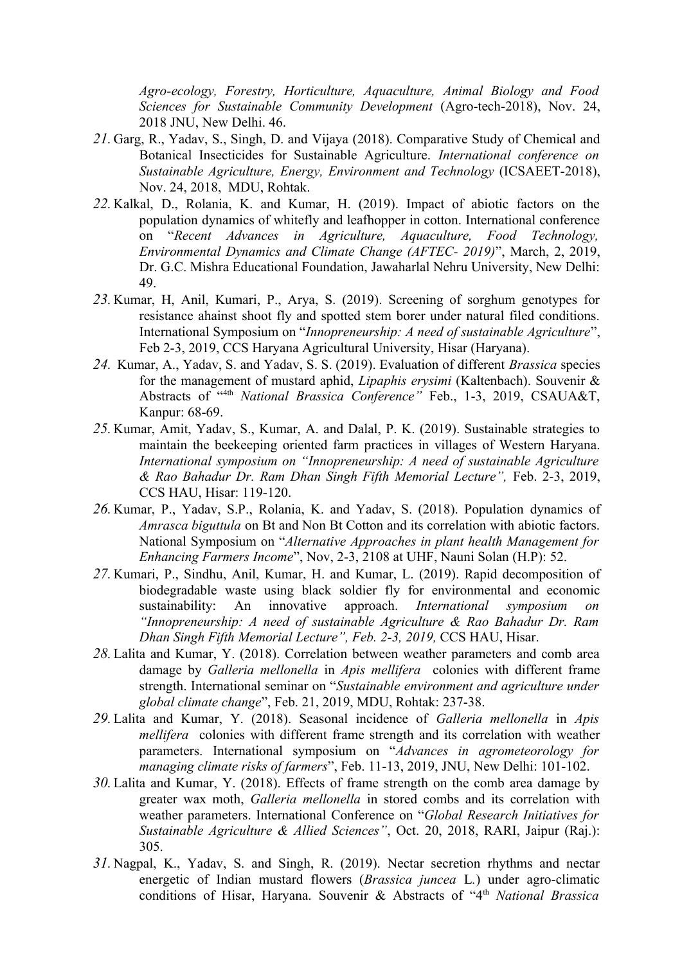*Agro-ecology, Forestry, Horticulture, Aquaculture, Animal Biology and Food Sciences for Sustainable Community Development* (Agro-tech-2018), Nov. 24, 2018 JNU, New Delhi. 46.

- *21.* Garg, R., Yadav, S., Singh, D. and Vijaya (2018). Comparative Study of Chemical and Botanical Insecticides for Sustainable Agriculture. *International conference on Sustainable Agriculture, Energy, Environment and Technology* (ICSAEET-2018), Nov. 24, 2018, MDU, Rohtak.
- *22.* Kalkal, D., Rolania, K. and Kumar, H. (2019). Impact of abiotic factors on the population dynamics of whitefly and leafhopper in cotton. International conference on "*Recent Advances in Agriculture, Aquaculture, Food Technology, Environmental Dynamics and Climate Change (AFTEC- 2019)*", March, 2, 2019, Dr. G.C. Mishra Educational Foundation, Jawaharlal Nehru University, New Delhi: 49.
- *23.* Kumar, H, Anil, Kumari, P., Arya, S. (2019). Screening of sorghum genotypes for resistance ahainst shoot fly and spotted stem borer under natural filed conditions. International Symposium on "*Innopreneurship: A need of sustainable Agriculture*", Feb 2-3, 2019, CCS Haryana Agricultural University, Hisar (Haryana).
- *24.* Kumar, A., Yadav, S. and Yadav, S. S. (2019). Evaluation of different *Brassica* species for the management of mustard aphid, *Lipaphis erysimi* (Kaltenbach). Souvenir & Abstracts of "4th *National Brassica Conference"* Feb., 1-3, 2019, CSAUA&T, Kanpur: 68-69.
- *25.* Kumar, Amit, Yadav, S., Kumar, A. and Dalal, P. K. (2019). Sustainable strategies to maintain the beekeeping oriented farm practices in villages of Western Haryana. *International symposium on "Innopreneurship: A need of sustainable Agriculture & Rao Bahadur Dr. Ram Dhan Singh Fifth Memorial Lecture",* Feb. 2-3, 2019, CCS HAU, Hisar: 119-120.
- *26.* Kumar, P., Yadav, S.P., Rolania, K. and Yadav, S. (2018). Population dynamics of *Amrasca biguttula* on Bt and Non Bt Cotton and its correlation with abiotic factors. National Symposium on "*Alternative Approaches in plant health Management for Enhancing Farmers Income*", Nov, 2-3, 2108 at UHF, Nauni Solan (H.P): 52.
- *27.* Kumari, P., Sindhu, Anil, Kumar, H. and Kumar, L. (2019). Rapid decomposition of biodegradable waste using black soldier fly for environmental and economic sustainability: An innovative approach. *International symposium on "Innopreneurship: A need of sustainable Agriculture & Rao Bahadur Dr. Ram Dhan Singh Fifth Memorial Lecture", Feb. 2-3, 2019,* CCS HAU, Hisar.
- *28.*Lalita and Kumar, Y. (2018). Correlation between weather parameters and comb area damage by *Galleria mellonella* in *Apis mellifera* colonies with different frame strength. International seminar on "*Sustainable environment and agriculture under global climate change*", Feb. 21, 2019, MDU, Rohtak: 237-38.
- *29.*Lalita and Kumar, Y. (2018). Seasonal incidence of *Galleria mellonella* in *Apis mellifera* colonies with different frame strength and its correlation with weather parameters. International symposium on "*Advances in agrometeorology for managing climate risks of farmers*", Feb. 11-13, 2019, JNU, New Delhi: 101-102.
- *30.*Lalita and Kumar, Y. (2018). Effects of frame strength on the comb area damage by greater wax moth, *Galleria mellonella* in stored combs and its correlation with weather parameters. International Conference on "*Global Research Initiatives for Sustainable Agriculture & Allied Sciences"*, Oct. 20, 2018, RARI, Jaipur (Raj.): 305.
- *31.* Nagpal, K., Yadav, S. and Singh, R. (2019). Nectar secretion rhythms and nectar energetic of Indian mustard flowers (*Brassica juncea* L*.*) under agro-climatic conditions of Hisar, Haryana. Souvenir & Abstracts of "4th *National Brassica*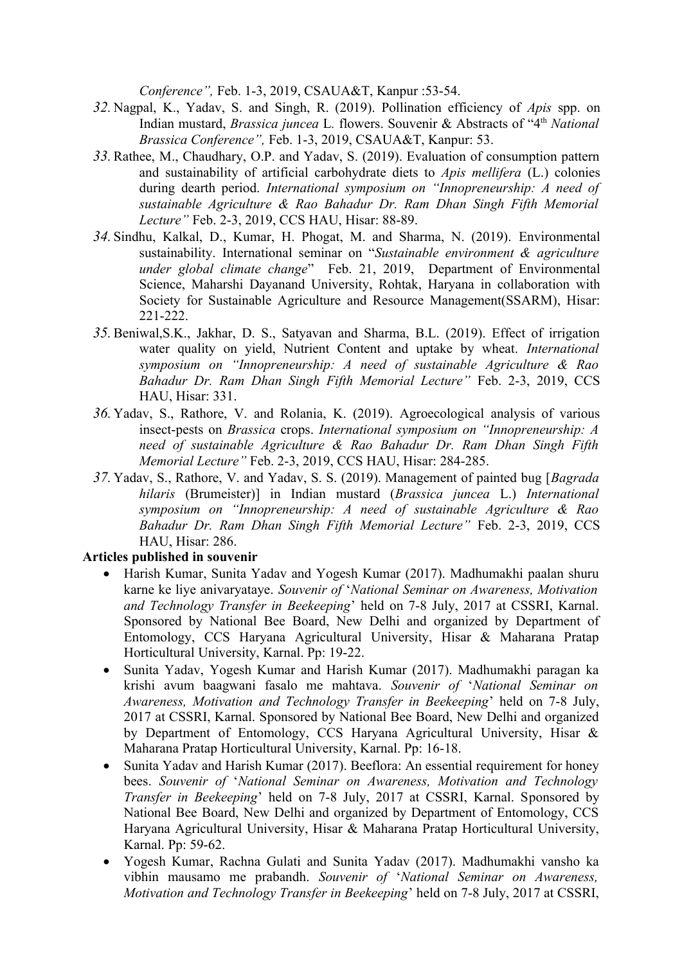*Conference",* Feb. 1-3, 2019, CSAUA&T, Kanpur :53-54.

- *32.* Nagpal, K., Yadav, S. and Singh, R. (2019). Pollination efficiency of *Apis* spp. on Indian mustard, *Brassica juncea* L*.* flowers. Souvenir & Abstracts of "4th *National Brassica Conference",* Feb. 1-3, 2019, CSAUA&T, Kanpur: 53.
- *33.*Rathee, M., Chaudhary, O.P. and Yadav, S. (2019). Evaluation of consumption pattern and sustainability of artificial carbohydrate diets to *Apis mellifera* (L.) colonies during dearth period. *International symposium on "Innopreneurship: A need of sustainable Agriculture & Rao Bahadur Dr. Ram Dhan Singh Fifth Memorial Lecture"* Feb. 2-3, 2019, CCS HAU, Hisar: 88-89.
- *34.* Sindhu, Kalkal, D., Kumar, H. Phogat, M. and Sharma, N. (2019). Environmental sustainability. International seminar on "*Sustainable environment & agriculture under global climate change*" Feb. 21, 2019, Department of Environmental Science, Maharshi Dayanand University, Rohtak, Haryana in collaboration with Society for Sustainable Agriculture and Resource Management(SSARM), Hisar: 221-222.
- *35.*Beniwal,S.K., Jakhar, D. S., Satyavan and Sharma, B.L. (2019). Effect of irrigation water quality on yield, Nutrient Content and uptake by wheat. *International symposium on "Innopreneurship: A need of sustainable Agriculture & Rao Bahadur Dr. Ram Dhan Singh Fifth Memorial Lecture"* Feb. 2-3, 2019, CCS HAU, Hisar: 331.
- *36.* Yadav, S., Rathore, V. and Rolania, K. (2019). Agroecological analysis of various insect-pests on *Brassica* crops. *International symposium on "Innopreneurship: A need of sustainable Agriculture & Rao Bahadur Dr. Ram Dhan Singh Fifth Memorial Lecture"* Feb. 2-3, 2019, CCS HAU, Hisar: 284-285.
- *37.* Yadav, S., Rathore, V. and Yadav, S. S. (2019). Management of painted bug [*Bagrada hilaris* (Brumeister)] in Indian mustard (*Brassica juncea* L.) *International symposium on "Innopreneurship: A need of sustainable Agriculture & Rao Bahadur Dr. Ram Dhan Singh Fifth Memorial Lecture"* Feb. 2-3, 2019, CCS HAU, Hisar: 286.

### **Articles published in souvenir**

- Harish Kumar, Sunita Yadav and Yogesh Kumar (2017). Madhumakhi paalan shuru karne ke liye anivaryataye. *Souvenir of* '*National Seminar on Awareness, Motivation and Technology Transfer in Beekeeping*' held on 7-8 July, 2017 at CSSRI, Karnal. Sponsored by National Bee Board, New Delhi and organized by Department of Entomology, CCS Haryana Agricultural University, Hisar & Maharana Pratap Horticultural University, Karnal. Pp: 19-22.
- Sunita Yadav, Yogesh Kumar and Harish Kumar (2017). Madhumakhi paragan ka krishi avum baagwani fasalo me mahtava. *Souvenir of* '*National Seminar on Awareness, Motivation and Technology Transfer in Beekeeping*' held on 7-8 July, 2017 at CSSRI, Karnal. Sponsored by National Bee Board, New Delhi and organized by Department of Entomology, CCS Haryana Agricultural University, Hisar & Maharana Pratap Horticultural University, Karnal. Pp: 16-18.
- Sunita Yadav and Harish Kumar (2017). Beeflora: An essential requirement for honey bees. *Souvenir of* '*National Seminar on Awareness, Motivation and Technology Transfer in Beekeeping*' held on 7-8 July, 2017 at CSSRI, Karnal. Sponsored by National Bee Board, New Delhi and organized by Department of Entomology, CCS Haryana Agricultural University, Hisar & Maharana Pratap Horticultural University, Karnal. Pp: 59-62.
- Yogesh Kumar, Rachna Gulati and Sunita Yadav (2017). Madhumakhi vansho ka vibhin mausamo me prabandh. *Souvenir of* '*National Seminar on Awareness, Motivation and Technology Transfer in Beekeeping*' held on 7-8 July, 2017 at CSSRI,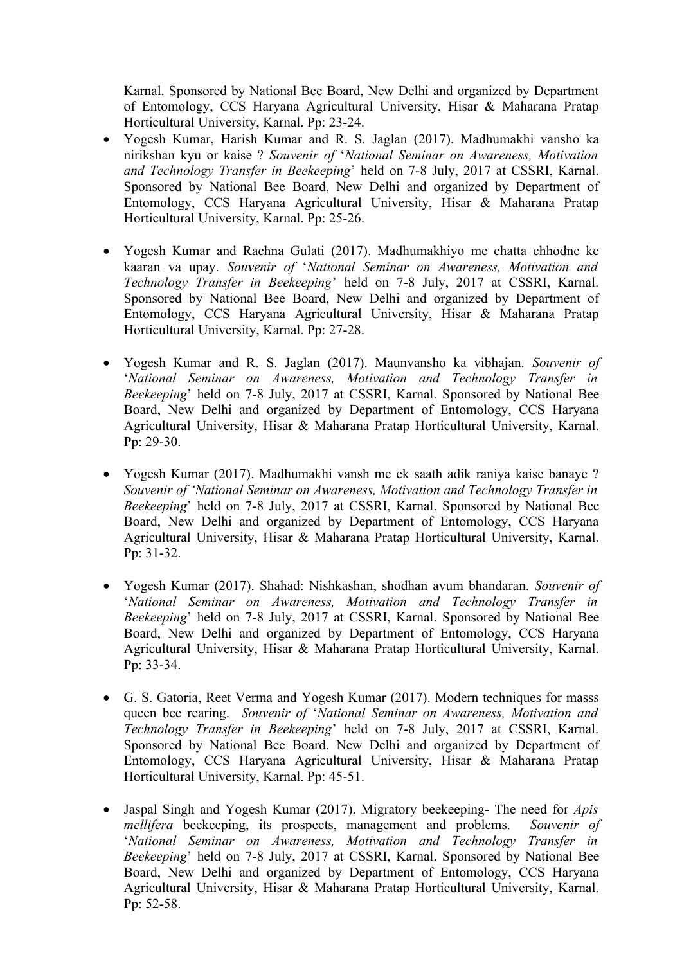Karnal. Sponsored by National Bee Board, New Delhi and organized by Department of Entomology, CCS Haryana Agricultural University, Hisar & Maharana Pratap Horticultural University, Karnal. Pp: 23-24.

- Yogesh Kumar, Harish Kumar and R. S. Jaglan (2017). Madhumakhi vansho ka nirikshan kyu or kaise ? *Souvenir of* '*National Seminar on Awareness, Motivation and Technology Transfer in Beekeeping*' held on 7-8 July, 2017 at CSSRI, Karnal. Sponsored by National Bee Board, New Delhi and organized by Department of Entomology, CCS Haryana Agricultural University, Hisar & Maharana Pratap Horticultural University, Karnal. Pp: 25-26.
- Yogesh Kumar and Rachna Gulati (2017). Madhumakhiyo me chatta chhodne ke kaaran va upay. *Souvenir of* '*National Seminar on Awareness, Motivation and Technology Transfer in Beekeeping*' held on 7-8 July, 2017 at CSSRI, Karnal. Sponsored by National Bee Board, New Delhi and organized by Department of Entomology, CCS Haryana Agricultural University, Hisar & Maharana Pratap Horticultural University, Karnal. Pp: 27-28.
- Yogesh Kumar and R. S. Jaglan (2017). Maunvansho ka vibhajan. *Souvenir of* '*National Seminar on Awareness, Motivation and Technology Transfer in Beekeeping*' held on 7-8 July, 2017 at CSSRI, Karnal. Sponsored by National Bee Board, New Delhi and organized by Department of Entomology, CCS Haryana Agricultural University, Hisar & Maharana Pratap Horticultural University, Karnal. Pp: 29-30.
- Yogesh Kumar (2017). Madhumakhi vansh me ek saath adik raniya kaise banaye ? *Souvenir of 'National Seminar on Awareness, Motivation and Technology Transfer in Beekeeping*' held on 7-8 July, 2017 at CSSRI, Karnal. Sponsored by National Bee Board, New Delhi and organized by Department of Entomology, CCS Haryana Agricultural University, Hisar & Maharana Pratap Horticultural University, Karnal. Pp: 31-32.
- Yogesh Kumar (2017). Shahad: Nishkashan, shodhan avum bhandaran. *Souvenir of* '*National Seminar on Awareness, Motivation and Technology Transfer in Beekeeping*' held on 7-8 July, 2017 at CSSRI, Karnal. Sponsored by National Bee Board, New Delhi and organized by Department of Entomology, CCS Haryana Agricultural University, Hisar & Maharana Pratap Horticultural University, Karnal. Pp: 33-34.
- G. S. Gatoria, Reet Verma and Yogesh Kumar (2017). Modern techniques for masss queen bee rearing. *Souvenir of* '*National Seminar on Awareness, Motivation and Technology Transfer in Beekeeping*' held on 7-8 July, 2017 at CSSRI, Karnal. Sponsored by National Bee Board, New Delhi and organized by Department of Entomology, CCS Haryana Agricultural University, Hisar & Maharana Pratap Horticultural University, Karnal. Pp: 45-51.
- Jaspal Singh and Yogesh Kumar (2017). Migratory beekeeping- The need for *Apis mellifera* beekeeping, its prospects, management and problems. *Souvenir of* '*National Seminar on Awareness, Motivation and Technology Transfer in Beekeeping*' held on 7-8 July, 2017 at CSSRI, Karnal. Sponsored by National Bee Board, New Delhi and organized by Department of Entomology, CCS Haryana Agricultural University, Hisar & Maharana Pratap Horticultural University, Karnal. Pp: 52-58.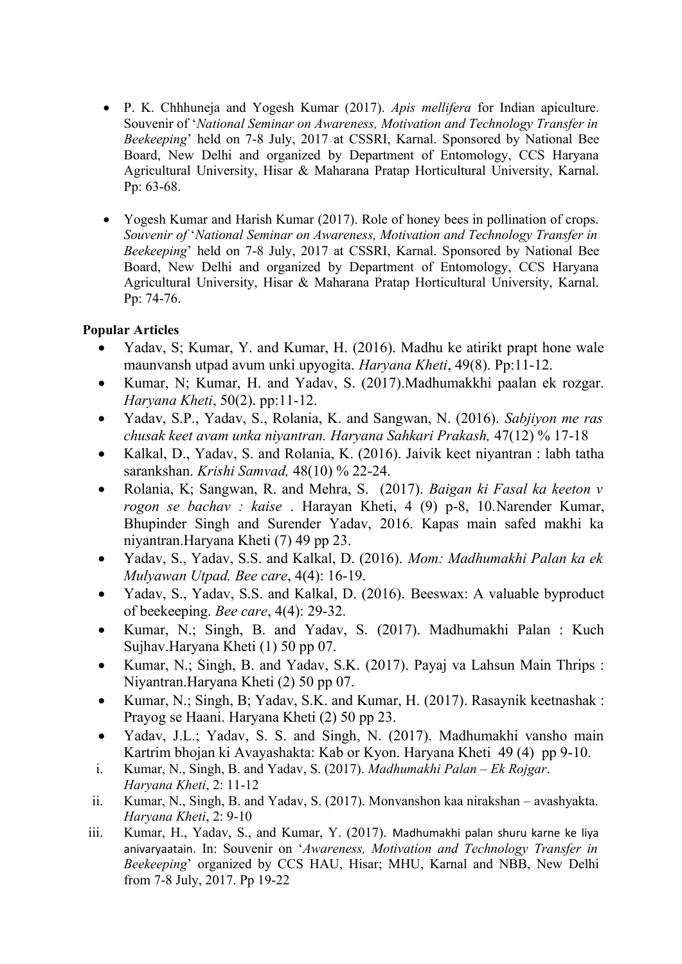- P. K. Chhhuneja and Yogesh Kumar (2017). *Apis mellifera* for Indian apiculture. Souvenir of '*National Seminar on Awareness, Motivation and Technology Transfer in Beekeeping*' held on 7-8 July, 2017 at CSSRI, Karnal. Sponsored by National Bee Board, New Delhi and organized by Department of Entomology, CCS Haryana Agricultural University, Hisar & Maharana Pratap Horticultural University, Karnal. Pp: 63-68.
- Yogesh Kumar and Harish Kumar (2017). Role of honey bees in pollination of crops. *Souvenir of* '*National Seminar on Awareness, Motivation and Technology Transfer in Beekeeping*' held on 7-8 July, 2017 at CSSRI, Karnal. Sponsored by National Bee Board, New Delhi and organized by Department of Entomology, CCS Haryana Agricultural University, Hisar & Maharana Pratap Horticultural University, Karnal. Pp: 74-76.

## **Popular Articles**

- Yadav, S; Kumar, Y. and Kumar, H. (2016). Madhu ke atirikt prapt hone wale maunvansh utpad avum unki upyogita. *Haryana Kheti*, 49(8). Pp:11-12.
- Kumar, N; Kumar, H. and Yadav, S. (2017).Madhumakkhi paalan ek rozgar. *Haryana Kheti*, 50(2). pp:11-12.
- Yadav, S.P., Yadav, S., Rolania, K. and Sangwan, N. (2016). *Sabjiyon me ras chusak keet avam unka niyantran. Haryana Sahkari Prakash,* 47(12) % 17-18
- Kalkal, D., Yadav, S. and Rolania, K. (2016). Jaivik keet niyantran : labh tatha sarankshan. *Krishi Samvad,* 48(10) % 22-24.
- Rolania, K; Sangwan, R. and Mehra, S. (2017). *Baigan ki Fasal ka keeton v rogon se bachav : kaise* . Harayan Kheti, 4 (9) p-8, 10.Narender Kumar, Bhupinder Singh and Surender Yadav, 2016. Kapas main safed makhi ka niyantran.Haryana Kheti (7) 49 pp 23.
- Yadav, S., Yadav, S.S. and Kalkal, D. (2016). *Mom: Madhumakhi Palan ka ek Mulyawan Utpad. Bee care*, 4(4): 16-19.
- Yadav, S., Yadav, S.S. and Kalkal, D. (2016). Beeswax: A valuable byproduct of beekeeping. *Bee care*, 4(4): 29-32.
- Kumar, N.; Singh, B. and Yadav, S. (2017). Madhumakhi Palan : Kuch Sujhav.Haryana Kheti (1) 50 pp 07.
- Kumar, N.; Singh, B. and Yadav, S.K. (2017). Payaj va Lahsun Main Thrips : Niyantran.Haryana Kheti (2) 50 pp 07.
- Kumar, N.; Singh, B; Yadav, S.K. and Kumar, H. (2017). Rasaynik keetnashak : Prayog se Haani. Haryana Kheti (2) 50 pp 23.
- Yadav, J.L.; Yadav, S. S. and Singh, N. (2017). Madhumakhi vansho main Kartrim bhojan ki Avayashakta: Kab or Kyon. Haryana Kheti 49 (4) pp 9-10.
- i. Kumar, N., Singh, B. and Yadav, S. (2017). *Madhumakhi Palan Ek Rojgar*. *Haryana Kheti*, 2: 11-12
- ii. Kumar, N., Singh, B. and Yadav, S. (2017). Monvanshon kaa nirakshan avashyakta. *Haryana Kheti*, 2: 9-10
- iii. Kumar, H., Yadav, S., and Kumar, Y. (2017). Madhumakhi palan shuru karne ke liya anivaryaatain. In: Souvenir on '*Awareness, Motivation and Technology Transfer in Beekeeping*' organized by CCS HAU, Hisar; MHU, Karnal and NBB, New Delhi from 7-8 July, 2017. Pp 19-22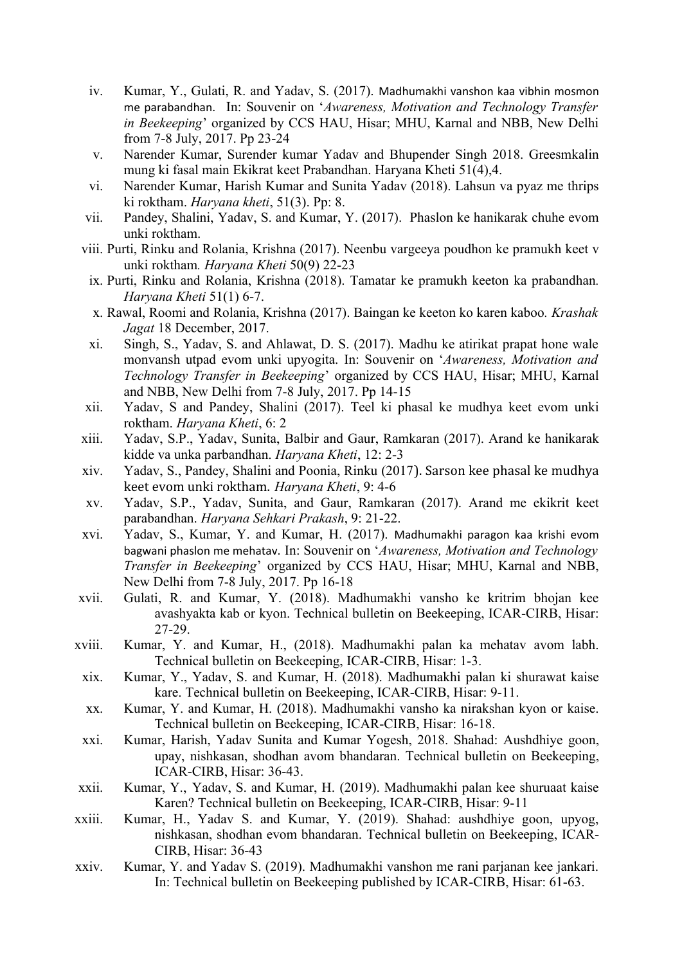- iv. Kumar, Y., Gulati, R. and Yadav, S. (2017). Madhumakhi vanshon kaa vibhin mosmon me parabandhan. In: Souvenir on '*Awareness, Motivation and Technology Transfer in Beekeeping*' organized by CCS HAU, Hisar; MHU, Karnal and NBB, New Delhi from 7-8 July, 2017. Pp 23-24
- v. Narender Kumar, Surender kumar Yadav and Bhupender Singh 2018. Greesmkalin mung ki fasal main Ekikrat keet Prabandhan. Haryana Kheti 51(4),4.
- vi. Narender Kumar, Harish Kumar and Sunita Yadav (2018). Lahsun va pyaz me thrips ki roktham. *Haryana kheti*, 51(3). Pp: 8.
- vii. Pandey, Shalini, Yadav, S. and Kumar, Y. (2017). Phaslon ke hanikarak chuhe evom unki roktham.
- viii. Purti, Rinku and Rolania, Krishna (2017). Neenbu vargeeya poudhon ke pramukh keet v unki roktham*. Haryana Kheti* 50(9) 22-23
- ix. Purti, Rinku and Rolania, Krishna (2018). Tamatar ke pramukh keeton ka prabandhan*. Haryana Kheti* 51(1) 6-7.
- x. Rawal, Roomi and Rolania, Krishna (2017). Baingan ke keeton ko karen kaboo*. Krashak Jagat* 18 December, 2017.
- xi. Singh, S., Yadav, S. and Ahlawat, D. S. (2017). Madhu ke atirikat prapat hone wale monvansh utpad evom unki upyogita. In: Souvenir on '*Awareness, Motivation and Technology Transfer in Beekeeping*' organized by CCS HAU, Hisar; MHU, Karnal and NBB, New Delhi from 7-8 July, 2017. Pp 14-15
- xii. Yadav, S and Pandey, Shalini (2017). Teel ki phasal ke mudhya keet evom unki roktham. *Haryana Kheti*, 6: 2
- xiii. Yadav, S.P., Yadav, Sunita, Balbir and Gaur, Ramkaran (2017). Arand ke hanikarak kidde va unka parbandhan. *Haryana Kheti*, 12: 2-3
- xiv. Yadav, S., Pandey, Shalini and Poonia, Rinku (2017). Sarson kee phasal ke mudhya keet evom unki roktham. *Haryana Kheti*, 9: 4-6
- xv. Yadav, S.P., Yadav, Sunita, and Gaur, Ramkaran (2017). Arand me ekikrit keet parabandhan. *Haryana Sehkari Prakash*, 9: 21-22.
- xvi. Yadav, S., Kumar, Y. and Kumar, H. (2017). Madhumakhi paragon kaa krishi evom bagwani phaslon me mehatav. In: Souvenir on '*Awareness, Motivation and Technology Transfer in Beekeeping*' organized by CCS HAU, Hisar; MHU, Karnal and NBB, New Delhi from 7-8 July, 2017. Pp 16-18
- xvii. Gulati, R. and Kumar, Y. (2018). Madhumakhi vansho ke kritrim bhojan kee avashyakta kab or kyon. Technical bulletin on Beekeeping, ICAR-CIRB, Hisar: 27-29.
- xviii. Kumar, Y. and Kumar, H., (2018). Madhumakhi palan ka mehatav avom labh. Technical bulletin on Beekeeping, ICAR-CIRB, Hisar: 1-3.
- xix. Kumar, Y., Yadav, S. and Kumar, H. (2018). Madhumakhi palan ki shurawat kaise kare. Technical bulletin on Beekeeping, ICAR-CIRB, Hisar: 9-11.
- xx. Kumar, Y. and Kumar, H. (2018). Madhumakhi vansho ka nirakshan kyon or kaise. Technical bulletin on Beekeeping, ICAR-CIRB, Hisar: 16-18.
- xxi. Kumar, Harish, Yadav Sunita and Kumar Yogesh, 2018. Shahad: Aushdhiye goon, upay, nishkasan, shodhan avom bhandaran. Technical bulletin on Beekeeping, ICAR-CIRB, Hisar: 36-43.
- xxii. Kumar, Y., Yadav, S. and Kumar, H. (2019). Madhumakhi palan kee shuruaat kaise Karen? Technical bulletin on Beekeeping, ICAR-CIRB, Hisar: 9-11
- xxiii. Kumar, H., Yadav S. and Kumar, Y. (2019). Shahad: aushdhiye goon, upyog, nishkasan, shodhan evom bhandaran. Technical bulletin on Beekeeping, ICAR-CIRB, Hisar: 36-43
- xxiv. Kumar, Y. and Yadav S. (2019). Madhumakhi vanshon me rani parjanan kee jankari. In: Technical bulletin on Beekeeping published by ICAR-CIRB, Hisar: 61-63.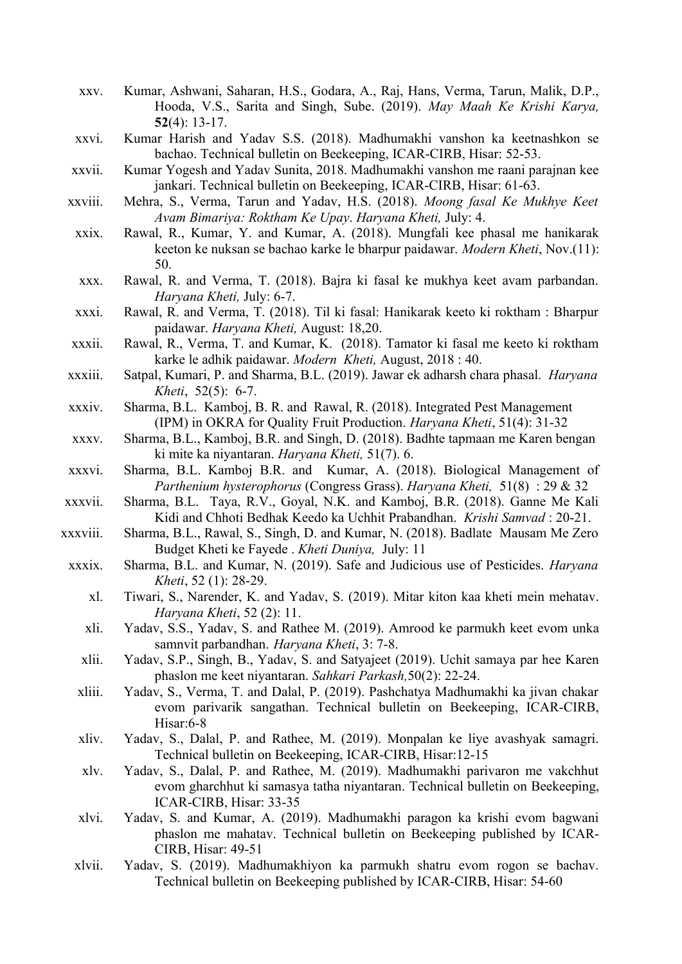- xxv. Kumar, Ashwani, Saharan, H.S., Godara, A., Raj, Hans, Verma, Tarun, Malik, D.P., Hooda, V.S., Sarita and Singh, Sube. (2019). *May Maah Ke Krishi Karya,* **52**(4): 13-17.
- xxvi. Kumar Harish and Yadav S.S. (2018). Madhumakhi vanshon ka keetnashkon se bachao. Technical bulletin on Beekeeping, ICAR-CIRB, Hisar: 52-53.
- xxvii. Kumar Yogesh and Yadav Sunita, 2018. Madhumakhi vanshon me raani parajnan kee jankari. Technical bulletin on Beekeeping, ICAR-CIRB, Hisar: 61-63.
- xxviii. Mehra, S., Verma, Tarun and Yadav, H.S. (2018). *Moong fasal Ke Mukhye Keet Avam Bimariya: Roktham Ke Upay*. *Haryana Kheti,* July: 4.
- xxix. Rawal, R., Kumar, Y. and Kumar, A. (2018). Mungfali kee phasal me hanikarak keeton ke nuksan se bachao karke le bharpur paidawar. *Modern Kheti*, Nov.(11): 50.
- xxx. Rawal, R. and Verma, T. (2018). Bajra ki fasal ke mukhya keet avam parbandan. *Haryana Kheti,* July: 6-7.
- xxxi. Rawal, R. and Verma, T. (2018). Til ki fasal: Hanikarak keeto ki roktham : Bharpur paidawar. *Haryana Kheti,* August: 18,20.
- xxxii. Rawal, R., Verma, T. and Kumar, K. (2018). Tamator ki fasal me keeto ki roktham karke le adhik paidawar. *Modern Kheti,* August, 2018 : 40.
- xxxiii. Satpal, Kumari, P. and Sharma, B.L. (2019). Jawar ek adharsh chara phasal. *Haryana Kheti*, 52(5): 6-7.
- xxxiv. Sharma, B.L. Kamboj, B. R. and Rawal, R. (2018). Integrated Pest Management (IPM) in OKRA for Quality Fruit Production. *Haryana Kheti*, 51(4): 31-32
- xxxv. Sharma, B.L., Kamboj, B.R. and Singh, D. (2018). Badhte tapmaan me Karen bengan ki mite ka niyantaran. *Haryana Kheti,* 51(7). 6.
- xxxvi. Sharma, B.L. Kamboj B.R. and Kumar, A. (2018). Biological Management of *Parthenium hysterophorus* (Congress Grass). *Haryana Kheti,* 51(8) : 29 & 32
- xxxvii. Sharma, B.L. Taya, R.V., Goyal, N.K. and Kamboj, B.R. (2018). Ganne Me Kali Kidi and Chhoti Bedhak Keedo ka Uchhit Prabandhan. *Krishi Samvad* : 20-21.
- xxxviii. Sharma, B.L., Rawal, S., Singh, D. and Kumar, N. (2018). Badlate Mausam Me Zero Budget Kheti ke Fayede . *Kheti Duniya,* July: 11
- xxxix. Sharma, B.L. and Kumar, N. (2019). Safe and Judicious use of Pesticides. *Haryana Kheti*, 52 (1): 28-29.
	- xl. Tiwari, S., Narender, K. and Yadav, S. (2019). Mitar kiton kaa kheti mein mehatav. *Haryana Kheti*, 52 (2): 11.
	- xli. Yadav, S.S., Yadav, S. and Rathee M. (2019). Amrood ke parmukh keet evom unka samnvit parbandhan. *Haryana Kheti*, 3: 7-8.
	- xlii. Yadav, S.P., Singh, B., Yadav, S. and Satyajeet (2019). Uchit samaya par hee Karen phaslon me keet niyantaran. *Sahkari Parkash,*50(2): 22-24.
	- xliii. Yadav, S., Verma, T. and Dalal, P. (2019). Pashchatya Madhumakhi ka jivan chakar evom parivarik sangathan. Technical bulletin on Beekeeping, ICAR-CIRB, Hisar:6-8
	- xliv. Yadav, S., Dalal, P. and Rathee, M. (2019). Monpalan ke liye avashyak samagri. Technical bulletin on Beekeeping, ICAR-CIRB, Hisar:12-15
	- xlv. Yadav, S., Dalal, P. and Rathee, M. (2019). Madhumakhi parivaron me vakchhut evom gharchhut ki samasya tatha niyantaran. Technical bulletin on Beekeeping, ICAR-CIRB, Hisar: 33-35
	- xlvi. Yadav, S. and Kumar, A. (2019). Madhumakhi paragon ka krishi evom bagwani phaslon me mahatav. Technical bulletin on Beekeeping published by ICAR-CIRB, Hisar: 49-51
	- xlvii. Yadav, S. (2019). Madhumakhiyon ka parmukh shatru evom rogon se bachav. Technical bulletin on Beekeeping published by ICAR-CIRB, Hisar: 54-60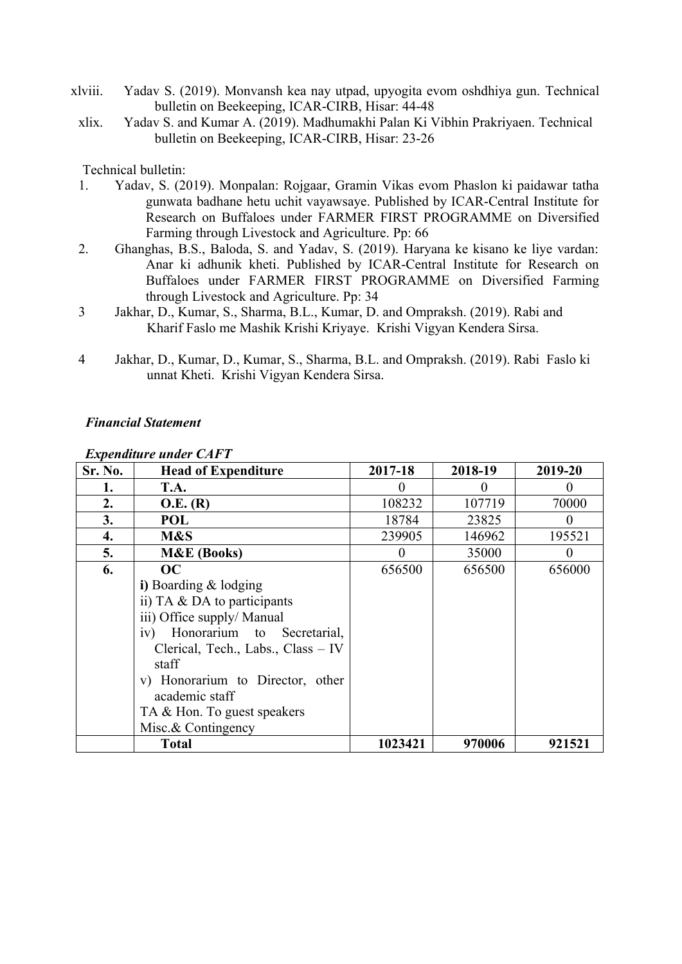- xlviii. Yadav S. (2019). Monvansh kea nay utpad, upyogita evom oshdhiya gun. Technical bulletin on Beekeeping, ICAR-CIRB, Hisar: 44-48
- xlix. Yadav S. and Kumar A. (2019). Madhumakhi Palan Ki Vibhin Prakriyaen. Technical bulletin on Beekeeping, ICAR-CIRB, Hisar: 23-26

Technical bulletin:

- 1. Yadav, S. (2019). Monpalan: Rojgaar, Gramin Vikas evom Phaslon ki paidawar tatha gunwata badhane hetu uchit vayawsaye. Published by ICAR-Central Institute for Research on Buffaloes under FARMER FIRST PROGRAMME on Diversified Farming through Livestock and Agriculture. Pp: 66
- 2. Ghanghas, B.S., Baloda, S. and Yadav, S. (2019). Haryana ke kisano ke liye vardan: Anar ki adhunik kheti. Published by ICAR-Central Institute for Research on Buffaloes under FARMER FIRST PROGRAMME on Diversified Farming through Livestock and Agriculture. Pp: 34
- 3 Jakhar, D., Kumar, S., Sharma, B.L., Kumar, D. and Ompraksh. (2019). Rabi and Kharif Faslo me Mashik Krishi Kriyaye. Krishi Vigyan Kendera Sirsa.
- 4 Jakhar, D., Kumar, D., Kumar, S., Sharma, B.L. and Ompraksh. (2019). Rabi Faslo ki unnat Kheti. Krishi Vigyan Kendera Sirsa.

### *Financial Statement*

| Sr. No. | <b>Head of Expenditure</b>         | 2017-18      | 2018-19 | 2019-20  |
|---------|------------------------------------|--------------|---------|----------|
| 1.      | T.A.                               | 0            |         |          |
| 2.      | O.E. (R)                           | 108232       | 107719  | 70000    |
| 3.      | <b>POL</b>                         | 18784        | 23825   | $\theta$ |
| 4.      | M&S                                | 239905       | 146962  | 195521   |
| 5.      | <b>M&amp;E</b> (Books)             | $\mathbf{0}$ | 35000   | $\Omega$ |
| 6.      | OC                                 | 656500       | 656500  | 656000   |
|         | i) Boarding $&$ lodging            |              |         |          |
|         | ii) TA $&$ DA to participants      |              |         |          |
|         | iii) Office supply/ Manual         |              |         |          |
|         | iv) Honorarium to Secretarial,     |              |         |          |
|         | Clerical, Tech., Labs., Class - IV |              |         |          |
|         | staff                              |              |         |          |
|         | v) Honorarium to Director, other   |              |         |          |
|         | academic staff                     |              |         |          |
|         | TA & Hon. To guest speakers        |              |         |          |
|         | Misc.& Contingency                 |              |         |          |
|         | <b>Total</b>                       | 1023421      | 970006  | 921521   |

*Expenditure under CAFT*